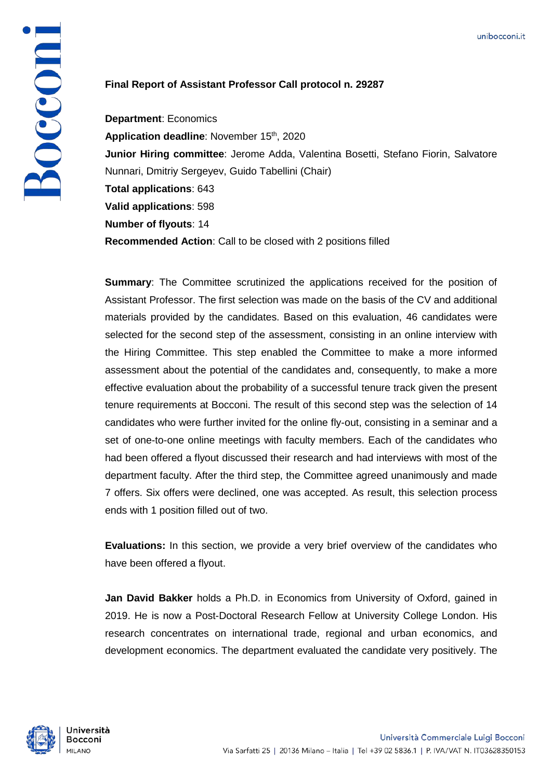## Bocconi

## **Final Report of Assistant Professor Call protocol n. 29287**

**Department**: Economics Application deadline: November 15<sup>th</sup>, 2020 **Junior Hiring committee**: Jerome Adda, Valentina Bosetti, Stefano Fiorin, Salvatore Nunnari, Dmitriy Sergeyev, Guido Tabellini (Chair) **Total applications**: 643 **Valid applications**: 598 **Number of flyouts**: 14 **Recommended Action**: Call to be closed with 2 positions filled

**Summary:** The Committee scrutinized the applications received for the position of Assistant Professor. The first selection was made on the basis of the CV and additional materials provided by the candidates. Based on this evaluation, 46 candidates were selected for the second step of the assessment, consisting in an online interview with the Hiring Committee. This step enabled the Committee to make a more informed assessment about the potential of the candidates and, consequently, to make a more effective evaluation about the probability of a successful tenure track given the present tenure requirements at Bocconi. The result of this second step was the selection of 14 candidates who were further invited for the online fly-out, consisting in a seminar and a set of one-to-one online meetings with faculty members. Each of the candidates who had been offered a flyout discussed their research and had interviews with most of the department faculty. After the third step, the Committee agreed unanimously and made 7 offers. Six offers were declined, one was accepted. As result, this selection process ends with 1 position filled out of two.

**Evaluations:** In this section, we provide a very brief overview of the candidates who have been offered a flyout.

**Jan David Bakker** holds a Ph.D. in Economics from University of Oxford, gained in 2019. He is now a Post-Doctoral Research Fellow at University College London. His research concentrates on international trade, regional and urban economics, and development economics. The department evaluated the candidate very positively. The